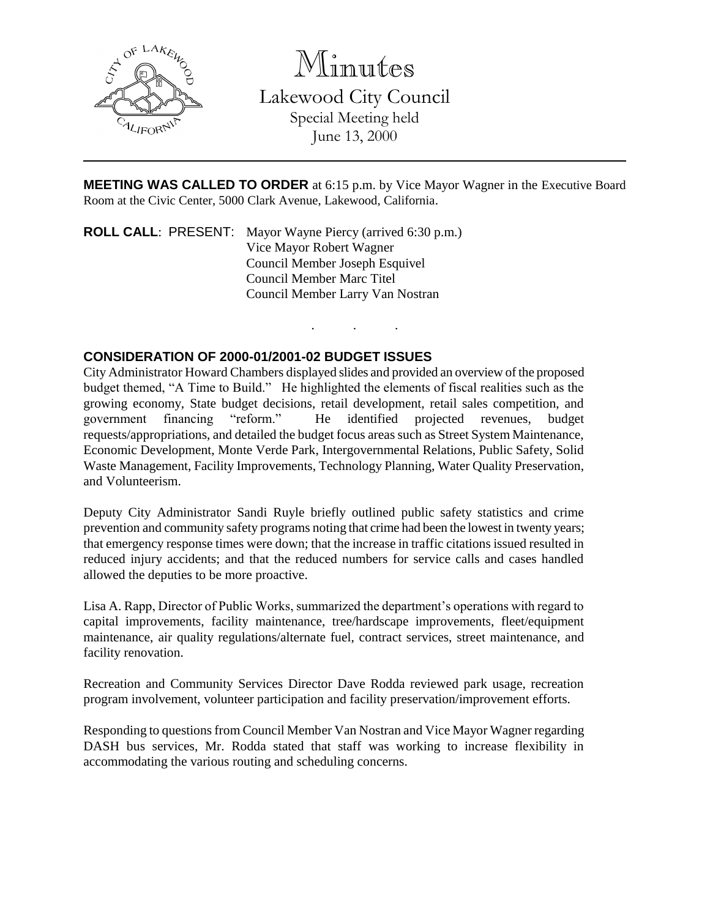

Minutes

Lakewood City Council Special Meeting held June 13, 2000

**MEETING WAS CALLED TO ORDER** at 6:15 p.m. by Vice Mayor Wagner in the Executive Board Room at the Civic Center, 5000 Clark Avenue, Lakewood, California.

. . .

**ROLL CALL**: PRESENT: Mayor Wayne Piercy (arrived 6:30 p.m.) Vice Mayor Robert Wagner Council Member Joseph Esquivel Council Member Marc Titel Council Member Larry Van Nostran

## **CONSIDERATION OF 2000-01/2001-02 BUDGET ISSUES**

City Administrator Howard Chambers displayed slides and provided an overview of the proposed budget themed, "A Time to Build." He highlighted the elements of fiscal realities such as the growing economy, State budget decisions, retail development, retail sales competition, and government financing "reform." He identified projected revenues, budget requests/appropriations, and detailed the budget focus areas such as Street System Maintenance, Economic Development, Monte Verde Park, Intergovernmental Relations, Public Safety, Solid Waste Management, Facility Improvements, Technology Planning, Water Quality Preservation, and Volunteerism.

Deputy City Administrator Sandi Ruyle briefly outlined public safety statistics and crime prevention and community safety programs noting that crime had been the lowest in twenty years; that emergency response times were down; that the increase in traffic citations issued resulted in reduced injury accidents; and that the reduced numbers for service calls and cases handled allowed the deputies to be more proactive.

Lisa A. Rapp, Director of Public Works, summarized the department's operations with regard to capital improvements, facility maintenance, tree/hardscape improvements, fleet/equipment maintenance, air quality regulations/alternate fuel, contract services, street maintenance, and facility renovation.

Recreation and Community Services Director Dave Rodda reviewed park usage, recreation program involvement, volunteer participation and facility preservation/improvement efforts.

Responding to questions from Council Member Van Nostran and Vice Mayor Wagner regarding DASH bus services, Mr. Rodda stated that staff was working to increase flexibility in accommodating the various routing and scheduling concerns.